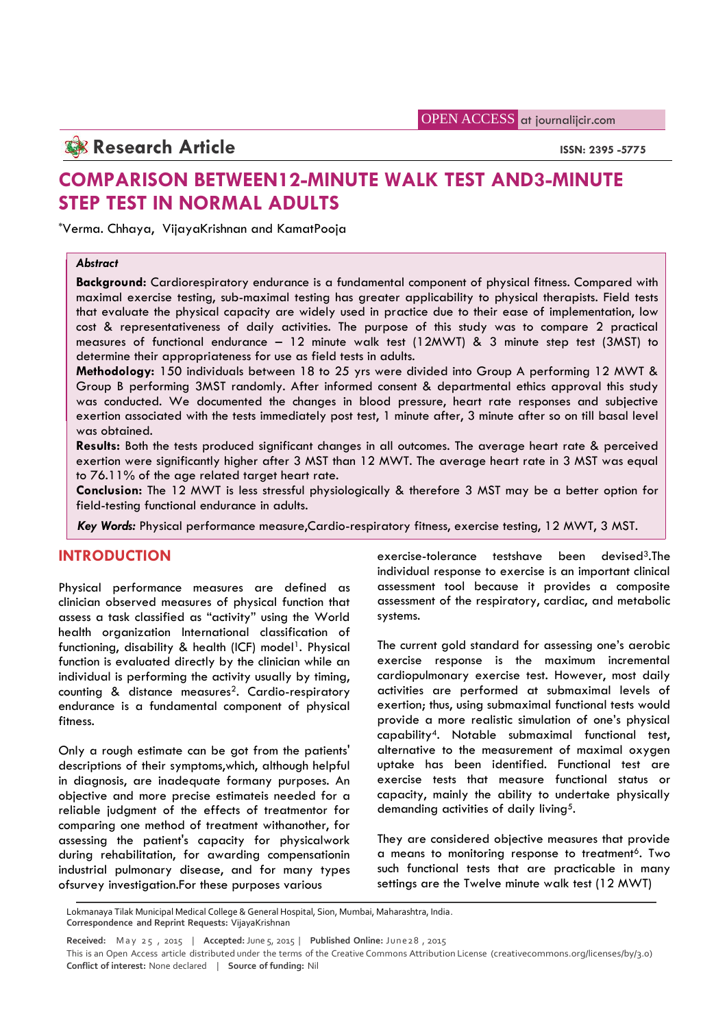OPEN ACCESS at journalijcir.com

## **Research Article ISSN: 2395 -5775**

# **COMPARISON BETWEEN12-MINUTE WALK TEST AND3-MINUTE STEP TEST IN NORMAL ADULTS**

\*Verma. Chhaya, VijayaKrishnan and KamatPooja

### *Abstract*

**Background:** Cardiorespiratory endurance is a fundamental component of physical fitness. Compared with maximal exercise testing, sub-maximal testing has greater applicability to physical therapists. Field tests that evaluate the physical capacity are widely used in practice due to their ease of implementation, low cost & representativeness of daily activities. The purpose of this study was to compare 2 practical measures of functional endurance – 12 minute walk test (12MWT) & 3 minute step test (3MST) to determine their appropriateness for use as field tests in adults.

**Methodology:** 150 individuals between 18 to 25 yrs were divided into Group A performing 12 MWT & Group B performing 3MST randomly. After informed consent & departmental ethics approval this study was conducted. We documented the changes in blood pressure, heart rate responses and subjective exertion associated with the tests immediately post test, 1 minute after, 3 minute after so on till basal level was obtained.

**Results:** Both the tests produced significant changes in all outcomes. The average heart rate & perceived exertion were significantly higher after 3 MST than 12 MWT. The average heart rate in 3 MST was equal to 76.11% of the age related target heart rate.

**Conclusion:** The 12 MWT is less stressful physiologically & therefore 3 MST may be a better option for field-testing functional endurance in adults.

*Key Words:* Physical performance measure,Cardio-respiratory fitness, exercise testing, 12 MWT, 3 MST.

## **INTRODUCTION**

Physical performance measures are defined as clinician observed measures of physical function that assess a task classified as "activity" using the World health organization International classification of functioning, disability & health (ICF) model<sup>1</sup>. Physical function is evaluated directly by the clinician while an individual is performing the activity usually by timing, counting & distance measures<sup>2</sup>. Cardio-respiratory endurance is a fundamental component of physical fitness.

Only a rough estimate can be got from the patients' descriptions of their symptoms,which, although helpful in diagnosis, are inadequate formany purposes. An objective and more precise estimateis needed for a reliable judgment of the effects of treatmentor for comparing one method of treatment withanother, for assessing the patient's capacity for physicalwork during rehabilitation, for awarding compensationin industrial pulmonary disease, and for many types ofsurvey investigation.For these purposes various

exercise-tolerance testshave been devised3.The individual response to exercise is an important clinical assessment tool because it provides a composite assessment of the respiratory, cardiac, and metabolic systems.

The current gold standard for assessing one's aerobic exercise response is the maximum incremental cardiopulmonary exercise test. However, most daily activities are performed at submaximal levels of exertion; thus, using submaximal functional tests would provide a more realistic simulation of one's physical capability4. Notable submaximal functional test, alternative to the measurement of maximal oxygen uptake has been identified. Functional test are exercise tests that measure functional status or capacity, mainly the ability to undertake physically demanding activities of daily living<sup>5</sup>.

They are considered objective measures that provide a means to monitoring response to treatment<sup>6</sup>. Two such functional tests that are practicable in many settings are the Twelve minute walk test (12 MWT)

Lokmanaya Tilak Municipal Medical College & General Hospital, Sion, Mumbai, Maharashtra, India.

**Correspondence and Reprint Requests:** VijayaKrishnan

Fsurvey investigation.For these purposes various settings are the Twelve minute walk test (12 MWT)<br>Lokmanaya Tilak Municipal Medical College & General Hospital, Sion, Mumbai, Maharashtra, India.<br>Correspondence and Reprint **Conflict of interest:** None declared | **Source of funding:** Nil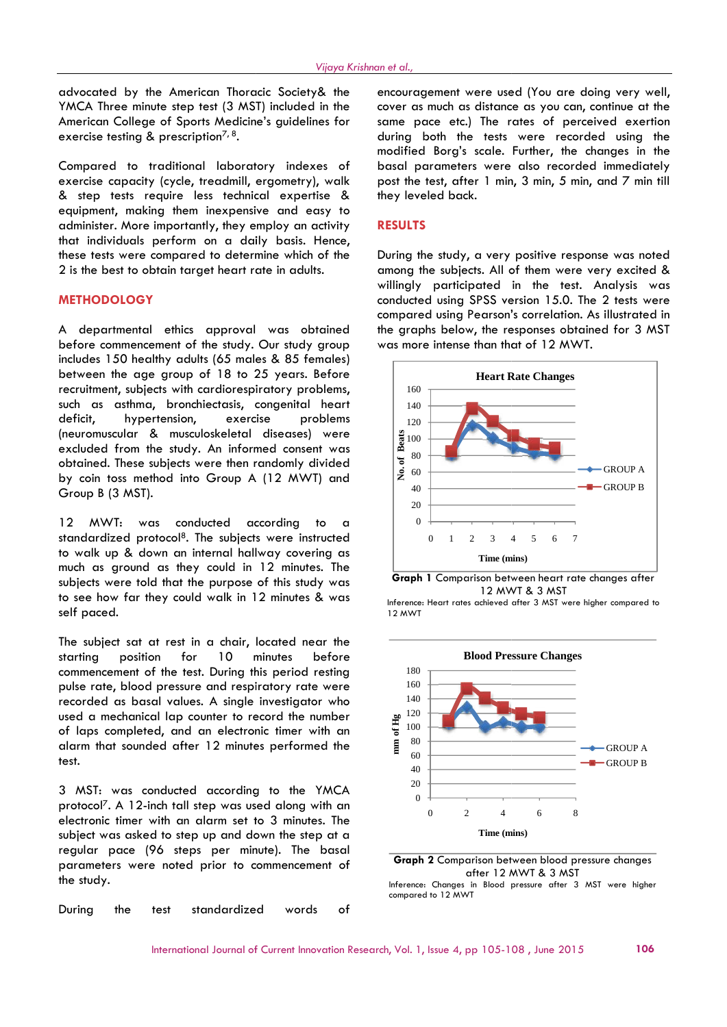advocated by the American Thoracic Society& the YMCA Three minute step test (3 MST) included in the American College of Sports Medicine's guidelines for exercise testing & prescription<sup>7, 8</sup>.

Compared to traditional laboratory indexes of exercise capacity (cycle, treadmill, ergometry), walk & step tests require less technical expertise & equipment, making them inexpensive and easy to administer. More importantly, they employ an activity that individuals perform on a daily basis. Hence, these tests were compared to determine which of the 2 is the best to obtain target heart rate in adults.

### **METHODOLOGY**

A departmental ethics approval was obtained before commencement of the study. Our study group includes 150 healthy adults (65 males & 85 females) between the age group of 18 to 25 years. Before recruitment, subjects with cardiorespiratory problems, such as asthma, bronchiectasis, congenital heart deficit, hypertension, exercise problems (neuromuscular & musculoskeletal diseases) were excluded from the study. An informed consent was obtained. These subjects were then randomly divided<br>by coin toss method into Group A (12 MWT) and by coin toss method into Group A (12 MWT) and  $|\breve{\mathsf{z}}|$ Group B (3 MST). Vijeya Krishnon et origing Crishnon et origing Crishnon et original **control**<br>
in minute step test (3 MST) included in the cover<br>
line of Sports Medicine's guidelines for some modify<br>
Unit of rotational Laboratory indexes

12 MWT: was conducted according to a standardized protocol<sup>8</sup>. The subjects were instructed to walk up & down an internal hallway covering as much as ground as they could in 12 minutes. The subjects were told that the purpose of this study was to see how far they could walk in 12 minutes & was self paced.

The subject sat at rest in a chair, located near the starting position for 10 minutes before commencement of the test. During this period resting pulse rate, blood pressure and respiratory rate were recorded as basal values. A single investigator who used a mechanical lap counter to record the number used a mechanical lap counter to record the number<br>of laps completed, and an electronic timer with an<br>alarm that sounded after 12 minutes performed the alarm that sounded after 12 minutes performed the test.

3 MST: was conducted according to the YMCA protocol7. A 12-inch tall step was used along with an electronic timer with an alarm set to 3 minutes. The subject was asked to step up and down the step at a regular pace (96 steps per minute). The basal parameters were noted prior to commencement of the study.

During the test standardized words of

encouragement were used (You are doing very well, cover as much as distance as you can, continue at the same pace etc.) The rates of perceived exertion during both the tests were recorded using the same pace etc.) The rates of perceived exertion<br>during both the tests were recorded using the<br>modified Borg's scale. Further, the changes in the basal parameters were also recorded immediately post the test, after 1 min, 3 min, 5 min, and 7 min till they leveled back.

#### **RESULTS**

During the study, a very positive response was noted among the subjects. All of them were very excited & willingly participated in the test. Analysis was conducted using SPSS version 15.0. The 2 tests were compared using Pearson's correlation. As illustrated in the graphs below, the responses obtained for 3 MST was more intense than that of 12 MWT. positive response was noted<br>of them were very excited &<br>in the test. Analysis was<br>ersion 15.0. The 2 tests were<br>'s correlation. As illustrated in





Inference: Heart rates achieved after 3 MST were higher compared to 12 MWT



after 12 MWT & 3 MST

compared to 12 MWT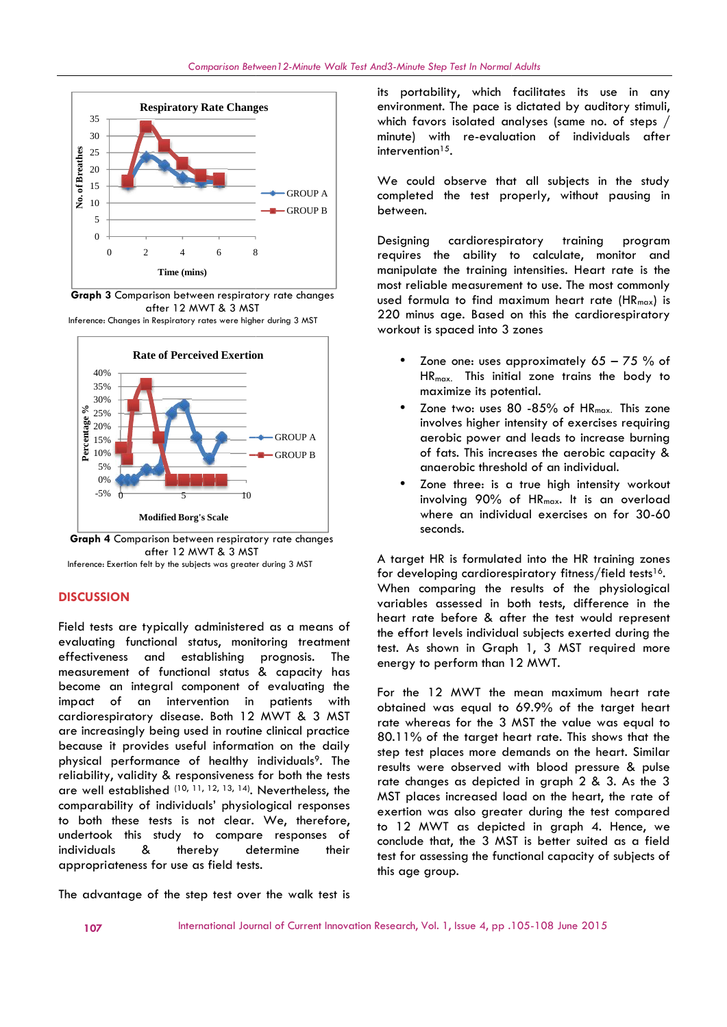

**Graph 3** Comparison between respiratory rate changes after 12 MWT & 3 MST Inference: Changes in Respiratory rates were higher during 3 MST



**Graph 4** Comparison between respiratory rate changes after 12 MWT & 3 MST Inference: Exertion felt by the subjects was greater during 3 MST

#### **DISCUSSION**

Field tests are typically administered as a means of evaluating functional status, monitoring treatment effectiveness and establishing prognosis. The measurement of functional status & capacity has become an integral component of evaluating the impact of an intervention in patients with cardiorespiratory disease. Both 12 MWT & 3 MST are increasingly being used in routine clinical practice because it provides useful information on the daily physical performance of healthy individuals<sup>9</sup>. The reliability, validity & responsiveness for both the tests are well established  $(10, 11, 12, 13, 14)$ . Nevertheless, the  $\overline{MST}$ comparability of individuals' physiological responses to both these tests is not clear. We, therefore, undertook this study to compare responses of individuals & thereby determine their appropriateness for use as field tests. evaluating functional status, monitoring tre<br>effectiveness and establishing prognosis.<br>measurement of functional status & capacit<br>become an integral component of evaluatir<br>impact of an intervention in patients<br>cardiorespir

The advantage of the step test over the walk test is

its portability, which facilitates its use in any environment. The pace is dictated by auditory stimuli, which favors isolated analyses (same no. of steps / minute) with re-evaluation of individuals after intervention $15$ .

We could observe that all subjects in the study completed the test properly, without pausing in between.

Designing cardiorespiratory training program requires the ability to calculate, monitor and manipulate the training intensities. Heart rate is the most reliable measurement to use. The most commonly used formula to find maximum heart rate (HR<sub>max</sub>) is 220 minus age. Based on this the cardiorespiratory workout is spaced into 3 zones ve that all subjects in the<br>est properly, without pausi<br>iorespiratory training pr<br>ility to calculate, monitor<br>aining intensities. Heart rate<br>surement to use. The most com<br>find maximum heart rate (HR<br>3ased on this the card

- Zone one: uses approximately  $65 75$  % of HRmax. This initial zone trains the body to maximize its potential.
- $\bullet$  Zone two: uses 80 -85% of HR $_{\sf max.}$  This zone involves higher intensity of exercises requiring aerobic power and leads to increase burning of fats. This increases the aerobic capacity & anaerobic threshold of an individual.
- Zone three: is a true high intensity workout involving 90% of HRmax. It is an overload where an individual exercises on for 30-60 seconds.

A target HR is formulated into the HR training zones for developing cardiorespiratory fitness/field tests<sup>16</sup>. When comparing the results of the physiological variables assessed in both tests, difference in the heart rate before & after the test would represent the effort levels individual subjects exerted during the test. As shown in Graph 1, 3 MST required more energy to perform than 12 MWT.

For the 12 MWT the mean maximum heart rate obtained was equal to 69.9% of the target heart rate whereas for the 3 MST the value was equal to 80.11% of the target heart rate. This shows that the step test places more demands on the heart. Similar results were observed with blood pressure & pulse rate changes as depicted in graph 2 & 3. As the 3 MST places increased load on the heart, the rate of exertion was also greater during the test compared to 12 MWT as depicted in graph 4. Hence, we conclude that, the 3 MST is better suited as a field test for assessing the functional capacity of subjects of this age group. which forces is doted in the minute of steps in the minute of the could observe that all subjects in the use of the comparison of the could be the minute of could be the transfer minute).<br>
The could be the could be the co Fractrice of the matterial of the maximum of the maximum of the maximum of the maximum of the maximum of the maximum of the maximum and the was greater of the maximum and the was greater MST and the maximum of that in i For examples and the probability, which footballed particles its use in ony of the particles of the second of the second of the second of the second of the second of the second of the second of the second of the second of fats. This increases the aerobic capacity & anaerobic threshold of an individual.<br>
• Zone three: is a rowe high intensity workout involving 90% of HR<sub>max</sub>. It is an overload where an individual exercises on for 30-60 s